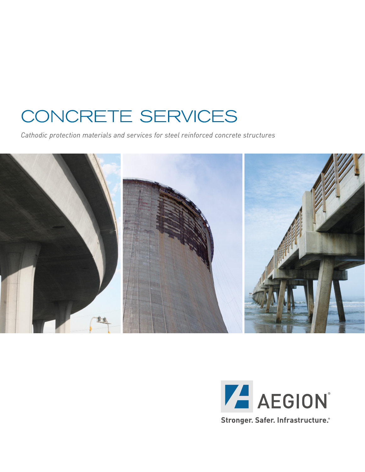# CONCRETE SERVICES

*Cathodic protection materials and services for steel reinforced concrete structures*